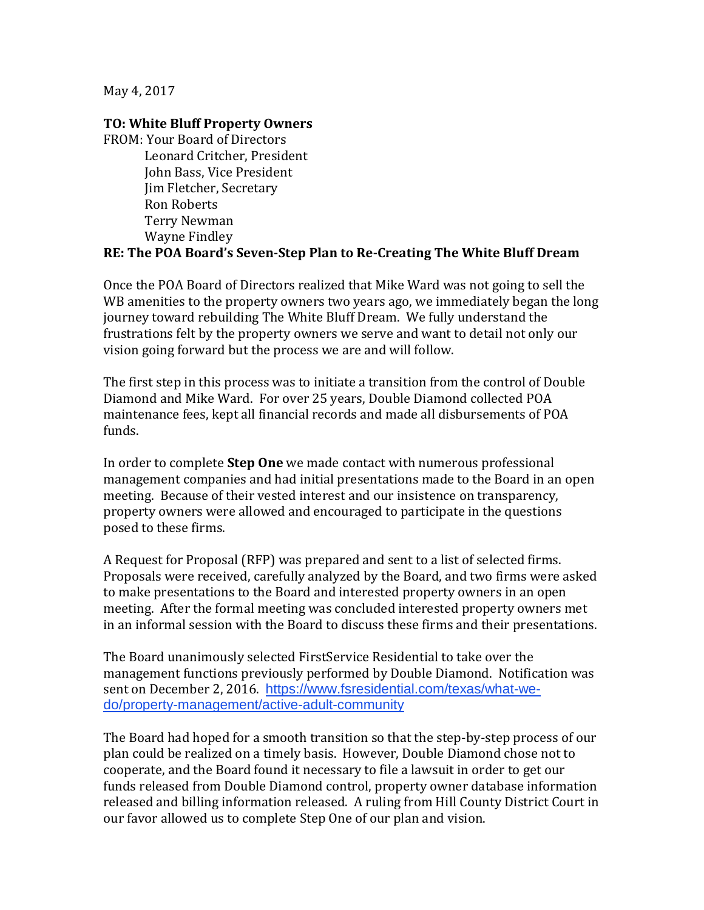May 4, 2017

## **TO: White Bluff Property Owners**

FROM: Your Board of Directors Leonard Critcher, President John Bass, Vice President Jim Fletcher, Secretary Ron Roberts Terry Newman Wayne Findley

## **RE: The POA Board's Seven-Step Plan to Re-Creating The White Bluff Dream**

Once the POA Board of Directors realized that Mike Ward was not going to sell the WB amenities to the property owners two years ago, we immediately began the long journey toward rebuilding The White Bluff Dream. We fully understand the frustrations felt by the property owners we serve and want to detail not only our vision going forward but the process we are and will follow.

The first step in this process was to initiate a transition from the control of Double Diamond and Mike Ward. For over 25 years, Double Diamond collected POA maintenance fees, kept all financial records and made all disbursements of POA funds.

In order to complete **Step One** we made contact with numerous professional management companies and had initial presentations made to the Board in an open meeting. Because of their vested interest and our insistence on transparency, property owners were allowed and encouraged to participate in the questions posed to these firms.

A Request for Proposal (RFP) was prepared and sent to a list of selected firms. Proposals were received, carefully analyzed by the Board, and two firms were asked to make presentations to the Board and interested property owners in an open meeting. After the formal meeting was concluded interested property owners met in an informal session with the Board to discuss these firms and their presentations.

The Board unanimously selected FirstService Residential to take over the management functions previously performed by Double Diamond. Notification was sent on December 2, 2016. [https://www.fsresidential.com/texas/what-we](https://www.fsresidential.com/texas/what-we-do/property-management/active-adult-community)[do/property-management/active-adult-community](https://www.fsresidential.com/texas/what-we-do/property-management/active-adult-community)

The Board had hoped for a smooth transition so that the step-by-step process of our plan could be realized on a timely basis. However, Double Diamond chose not to cooperate, and the Board found it necessary to file a lawsuit in order to get our funds released from Double Diamond control, property owner database information released and billing information released. A ruling from Hill County District Court in our favor allowed us to complete Step One of our plan and vision.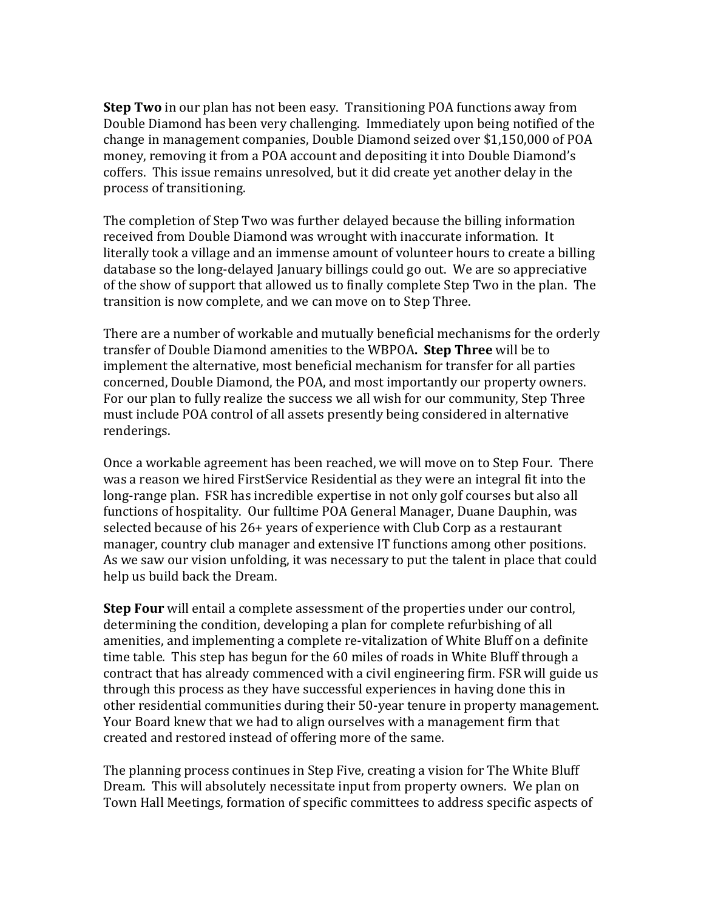**Step Two** in our plan has not been easy. Transitioning POA functions away from Double Diamond has been very challenging. Immediately upon being notified of the change in management companies, Double Diamond seized over \$1,150,000 of POA money, removing it from a POA account and depositing it into Double Diamond's coffers. This issue remains unresolved, but it did create yet another delay in the process of transitioning.

The completion of Step Two was further delayed because the billing information received from Double Diamond was wrought with inaccurate information. It literally took a village and an immense amount of volunteer hours to create a billing database so the long-delayed January billings could go out. We are so appreciative of the show of support that allowed us to finally complete Step Two in the plan. The transition is now complete, and we can move on to Step Three.

There are a number of workable and mutually beneficial mechanisms for the orderly transfer of Double Diamond amenities to the WBPOA**. Step Three** will be to implement the alternative, most beneficial mechanism for transfer for all parties concerned, Double Diamond, the POA, and most importantly our property owners. For our plan to fully realize the success we all wish for our community, Step Three must include POA control of all assets presently being considered in alternative renderings.

Once a workable agreement has been reached, we will move on to Step Four. There was a reason we hired FirstService Residential as they were an integral fit into the long-range plan. FSR has incredible expertise in not only golf courses but also all functions of hospitality. Our fulltime POA General Manager, Duane Dauphin, was selected because of his 26+ years of experience with Club Corp as a restaurant manager, country club manager and extensive IT functions among other positions. As we saw our vision unfolding, it was necessary to put the talent in place that could help us build back the Dream.

**Step Four** will entail a complete assessment of the properties under our control, determining the condition, developing a plan for complete refurbishing of all amenities, and implementing a complete re-vitalization of White Bluff on a definite time table. This step has begun for the 60 miles of roads in White Bluff through a contract that has already commenced with a civil engineering firm. FSR will guide us through this process as they have successful experiences in having done this in other residential communities during their 50-year tenure in property management. Your Board knew that we had to align ourselves with a management firm that created and restored instead of offering more of the same.

The planning process continues in Step Five, creating a vision for The White Bluff Dream. This will absolutely necessitate input from property owners. We plan on Town Hall Meetings, formation of specific committees to address specific aspects of